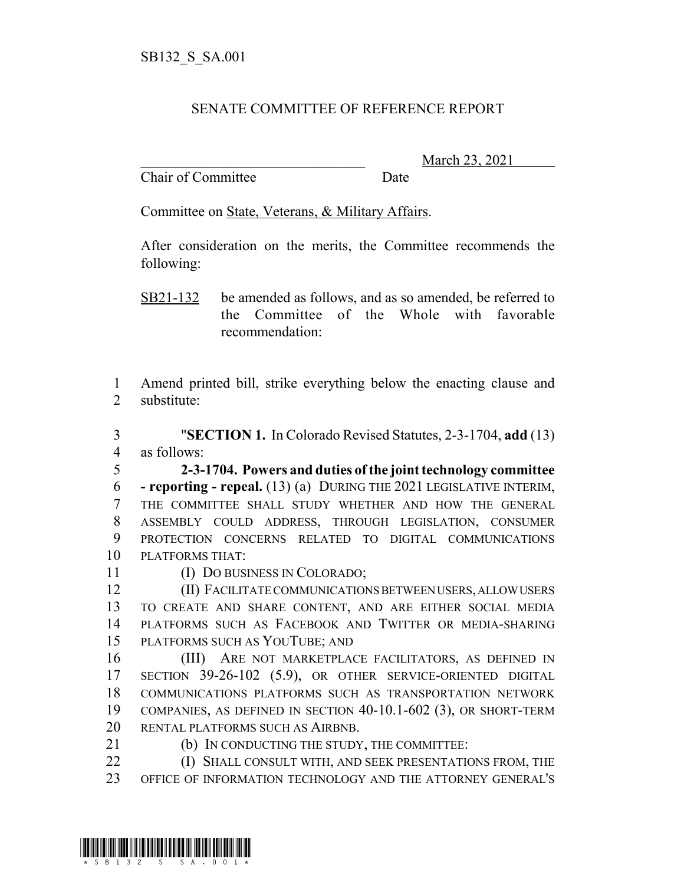## SENATE COMMITTEE OF REFERENCE REPORT

Chair of Committee Date

\_\_\_\_\_\_\_\_\_\_\_\_\_\_\_\_\_\_\_\_\_\_\_\_\_\_\_\_\_\_\_ March 23, 2021

Committee on State, Veterans, & Military Affairs.

After consideration on the merits, the Committee recommends the following:

SB21-132 be amended as follows, and as so amended, be referred to the Committee of the Whole with favorable recommendation:

 Amend printed bill, strike everything below the enacting clause and substitute:

 "**SECTION 1.** In Colorado Revised Statutes, 2-3-1704, **add** (13) as follows:

 **2-3-1704. Powers and duties of the joint technology committee - reporting - repeal.** (13) (a) DURING THE 2021 LEGISLATIVE INTERIM, THE COMMITTEE SHALL STUDY WHETHER AND HOW THE GENERAL ASSEMBLY COULD ADDRESS, THROUGH LEGISLATION, CONSUMER PROTECTION CONCERNS RELATED TO DIGITAL COMMUNICATIONS PLATFORMS THAT:

(I) DO BUSINESS IN COLORADO;

 (II) FACILITATE COMMUNICATIONS BETWEEN USERS, ALLOW USERS TO CREATE AND SHARE CONTENT, AND ARE EITHER SOCIAL MEDIA PLATFORMS SUCH AS FACEBOOK AND TWITTER OR MEDIA-SHARING PLATFORMS SUCH AS YOUTUBE; AND

 (III) ARE NOT MARKETPLACE FACILITATORS, AS DEFINED IN 17 SECTION 39-26-102 (5.9), OR OTHER SERVICE-ORIENTED DIGITAL COMMUNICATIONS PLATFORMS SUCH AS TRANSPORTATION NETWORK COMPANIES, AS DEFINED IN SECTION 40-10.1-602 (3), OR SHORT-TERM RENTAL PLATFORMS SUCH AS AIRBNB.

(b) IN CONDUCTING THE STUDY, THE COMMITTEE:

**(I) SHALL CONSULT WITH, AND SEEK PRESENTATIONS FROM, THE** OFFICE OF INFORMATION TECHNOLOGY AND THE ATTORNEY GENERAL'S

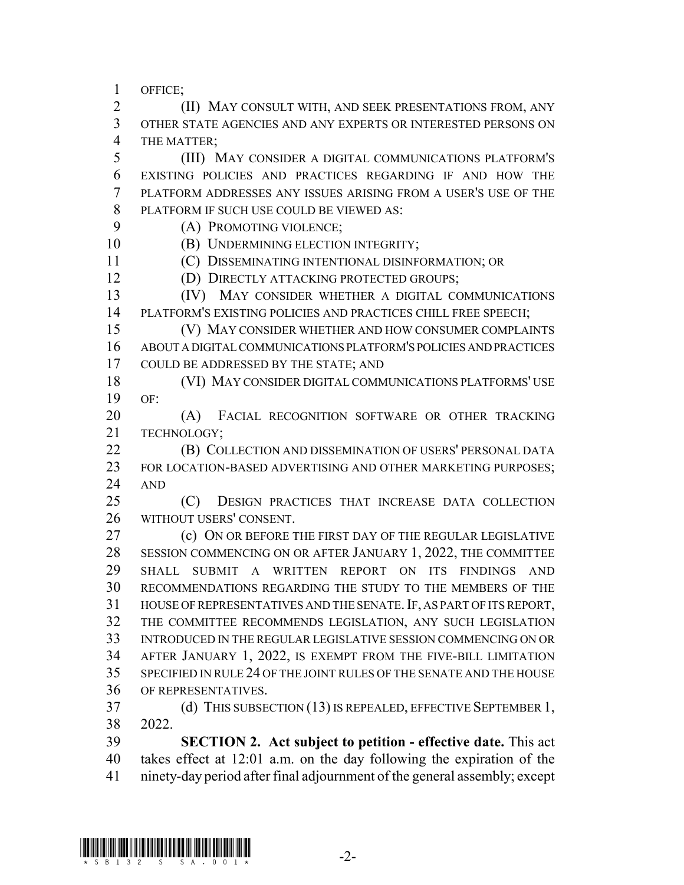OFFICE;

 (II) MAY CONSULT WITH, AND SEEK PRESENTATIONS FROM, ANY OTHER STATE AGENCIES AND ANY EXPERTS OR INTERESTED PERSONS ON THE MATTER;

 (III) MAY CONSIDER A DIGITAL COMMUNICATIONS PLATFORM'S EXISTING POLICIES AND PRACTICES REGARDING IF AND HOW THE PLATFORM ADDRESSES ANY ISSUES ARISING FROM A USER'S USE OF THE PLATFORM IF SUCH USE COULD BE VIEWED AS:

(A) PROMOTING VIOLENCE;

**(B) UNDERMINING ELECTION INTEGRITY;** 

(C) DISSEMINATING INTENTIONAL DISINFORMATION; OR

(D) DIRECTLY ATTACKING PROTECTED GROUPS;

 (IV) MAY CONSIDER WHETHER A DIGITAL COMMUNICATIONS PLATFORM'S EXISTING POLICIES AND PRACTICES CHILL FREE SPEECH;

 (V) MAY CONSIDER WHETHER AND HOW CONSUMER COMPLAINTS ABOUT A DIGITAL COMMUNICATIONS PLATFORM'S POLICIES AND PRACTICES 17 COULD BE ADDRESSED BY THE STATE: AND

 (VI) MAY CONSIDER DIGITAL COMMUNICATIONS PLATFORMS' USE OF:

20 (A) FACIAL RECOGNITION SOFTWARE OR OTHER TRACKING TECHNOLOGY;

 (B) COLLECTION AND DISSEMINATION OF USERS' PERSONAL DATA 23 FOR LOCATION-BASED ADVERTISING AND OTHER MARKETING PURPOSES; AND

 (C) DESIGN PRACTICES THAT INCREASE DATA COLLECTION WITHOUT USERS' CONSENT.

**(c) ON OR BEFORE THE FIRST DAY OF THE REGULAR LEGISLATIVE**  SESSION COMMENCING ON OR AFTER JANUARY 1, 2022, THE COMMITTEE SHALL SUBMIT A WRITTEN REPORT ON ITS FINDINGS AND RECOMMENDATIONS REGARDING THE STUDY TO THE MEMBERS OF THE HOUSE OF REPRESENTATIVES AND THE SENATE.IF, AS PART OF ITS REPORT, THE COMMITTEE RECOMMENDS LEGISLATION, ANY SUCH LEGISLATION INTRODUCED IN THE REGULAR LEGISLATIVE SESSION COMMENCING ON OR AFTER JANUARY 1, 2022, IS EXEMPT FROM THE FIVE-BILL LIMITATION SPECIFIED IN RULE 24 OF THE JOINT RULES OF THE SENATE AND THE HOUSE OF REPRESENTATIVES.

 (d) THIS SUBSECTION (13) IS REPEALED, EFFECTIVE SEPTEMBER 1, 2022.

 **SECTION 2. Act subject to petition - effective date.** This act takes effect at 12:01 a.m. on the day following the expiration of the ninety-day period after final adjournment of the general assembly; except